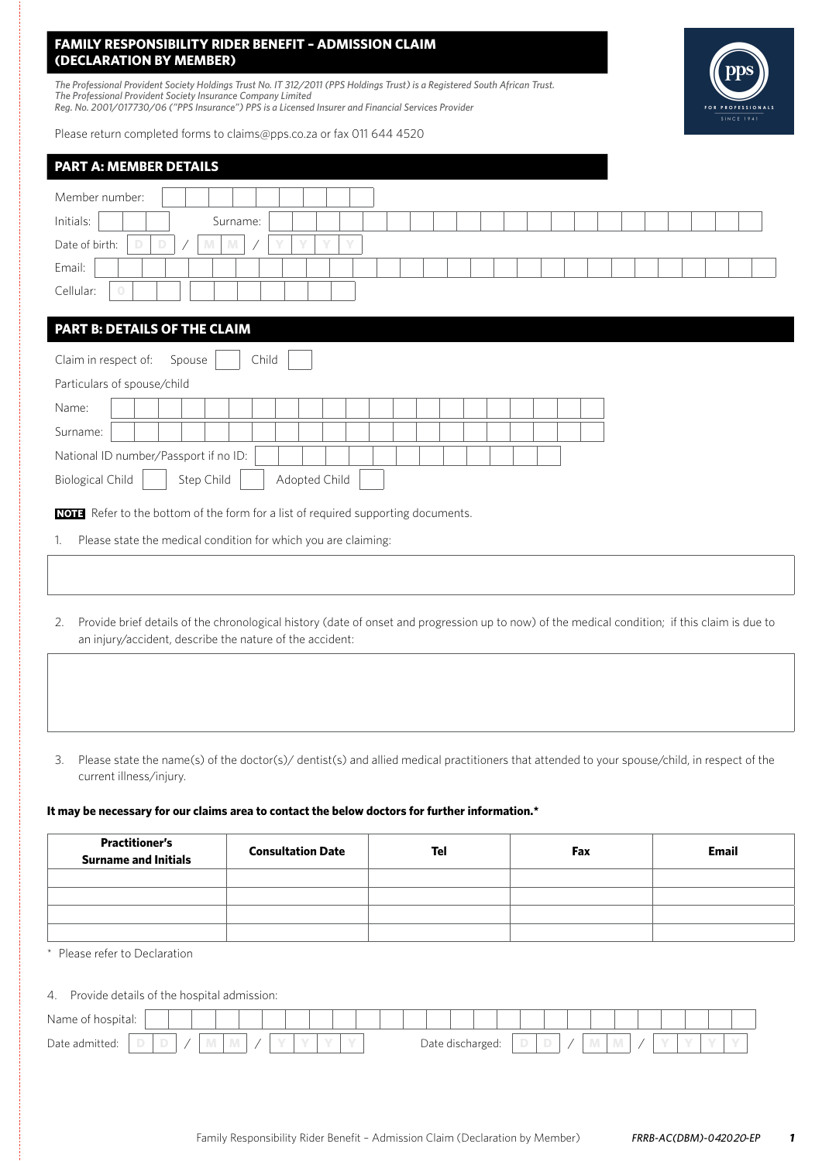# **FAMILY RESPONSIBILITY RIDER BENEFIT – ADMISSION CLAIM (DECLARATION BY MEMBER)**

*The Professional Provident Society Holdings Trust No. IT 312/2011 (PPS Holdings Trust) is a Registered South African Trust. The Professional Provident Society Insurance Company Limited Reg. No. 2001/017730/06 ("PPS Insurance") PPS is a Licensed Insurer and Financial Services Provider*

Please return completed forms to claims@pps.co.za or fax 011 644 4520

| <b>PART A: MEMBER DETAILS</b>                                                                                                                   |  |  |  |  |  |  |  |  |  |  |  |
|-------------------------------------------------------------------------------------------------------------------------------------------------|--|--|--|--|--|--|--|--|--|--|--|
| Member number:                                                                                                                                  |  |  |  |  |  |  |  |  |  |  |  |
|                                                                                                                                                 |  |  |  |  |  |  |  |  |  |  |  |
| Initials:<br>Surname:                                                                                                                           |  |  |  |  |  |  |  |  |  |  |  |
| Date of birth:<br>D<br>v<br>D<br>Υ<br>M<br>M                                                                                                    |  |  |  |  |  |  |  |  |  |  |  |
| Email:                                                                                                                                          |  |  |  |  |  |  |  |  |  |  |  |
| Cellular:                                                                                                                                       |  |  |  |  |  |  |  |  |  |  |  |
|                                                                                                                                                 |  |  |  |  |  |  |  |  |  |  |  |
| PART B: DETAILS OF THE CLAIM                                                                                                                    |  |  |  |  |  |  |  |  |  |  |  |
| Claim in respect of:<br>Child<br>Spouse                                                                                                         |  |  |  |  |  |  |  |  |  |  |  |
| Particulars of spouse/child                                                                                                                     |  |  |  |  |  |  |  |  |  |  |  |
| Name:                                                                                                                                           |  |  |  |  |  |  |  |  |  |  |  |
| Surname:                                                                                                                                        |  |  |  |  |  |  |  |  |  |  |  |
| National ID number/Passport if no ID:                                                                                                           |  |  |  |  |  |  |  |  |  |  |  |
| Adopted Child<br><b>Biological Child</b><br>Step Child                                                                                          |  |  |  |  |  |  |  |  |  |  |  |
| NOTE Refer to the bottom of the form for a list of required supporting documents.                                                               |  |  |  |  |  |  |  |  |  |  |  |
| Please state the medical condition for which you are claiming:<br>1.                                                                            |  |  |  |  |  |  |  |  |  |  |  |
|                                                                                                                                                 |  |  |  |  |  |  |  |  |  |  |  |
|                                                                                                                                                 |  |  |  |  |  |  |  |  |  |  |  |
| 2 Drovide brief details of the shrepplarial bistory (date of onset and progression up to now) of the modical condition; if this slaim is due to |  |  |  |  |  |  |  |  |  |  |  |

- 2. Provide brief details of the chronological history (date of onset and progression up to now) of the medical condition; if this claim is due to an injury/accident, describe the nature of the accident:
- 3. Please state the name(s) of the doctor(s)/ dentist(s) and allied medical practitioners that attended to your spouse/child, in respect of the current illness/injury.

### **It may be necessary for our claims area to contact the below doctors for further information.\***

| <b>Practitioner's</b><br><b>Surname and Initials</b> | <b>Consultation Date</b> | Tel | Fax | Email |
|------------------------------------------------------|--------------------------|-----|-----|-------|
|                                                      |                          |     |     |       |
|                                                      |                          |     |     |       |
|                                                      |                          |     |     |       |
|                                                      |                          |     |     |       |

\* Please refer to Declaration

## 4. Provide details of the hospital admission:

| Name of<br>hospital: |             |            |  |  |  |  |  |                  |  |   |              |   |  |  |  |
|----------------------|-------------|------------|--|--|--|--|--|------------------|--|---|--------------|---|--|--|--|
| Date admitted:       | $\sim$<br>u | <b>IVI</b> |  |  |  |  |  | ⊃ate discharged: |  | ۰ | All District | M |  |  |  |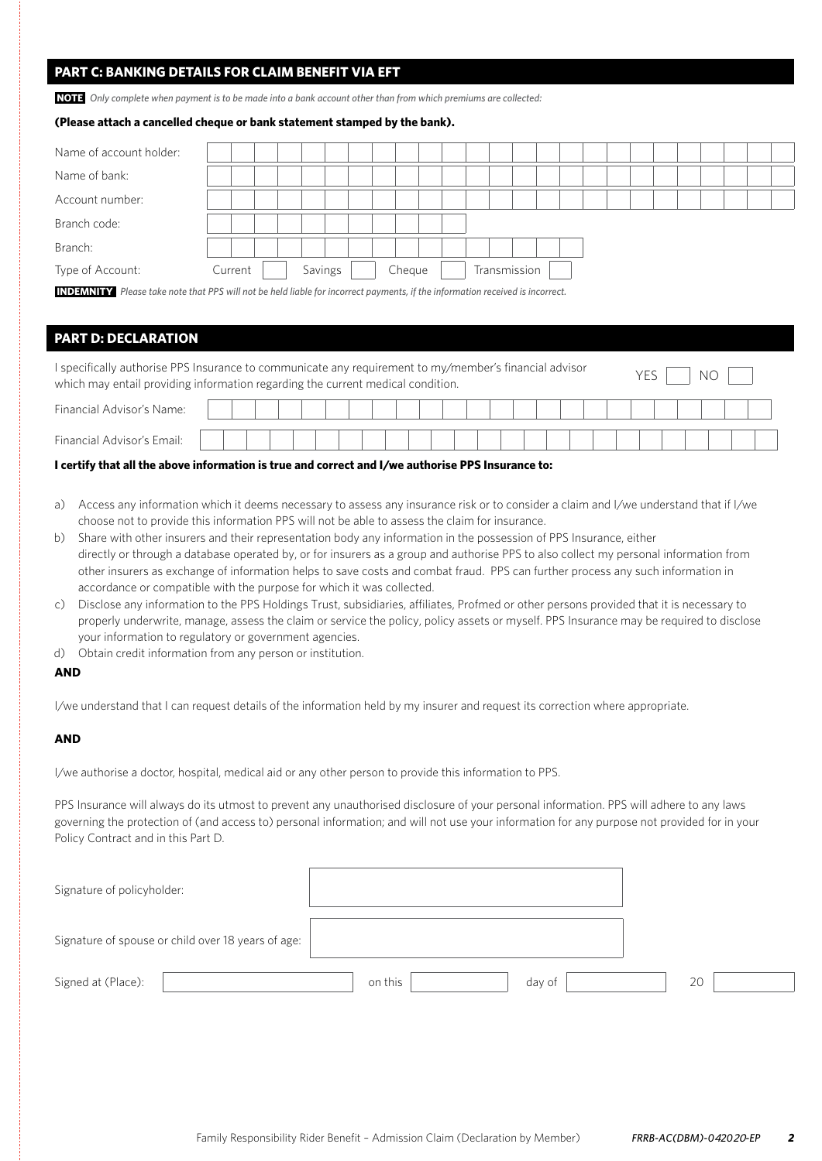# **PART C: BANKING DETAILS FOR CLAIM BENEFIT VIA EFT**

**NOTE** *Only complete when payment is to be made into a bank account other than from which premiums are collected:*

### **(Please attach a cancelled cheque or bank statement stamped by the bank).**

| Name of account holder:                                                                                                              |         |  |  |         |  |  |  |        |  |  |              |  |  |  |  |  |  |
|--------------------------------------------------------------------------------------------------------------------------------------|---------|--|--|---------|--|--|--|--------|--|--|--------------|--|--|--|--|--|--|
| Name of bank:                                                                                                                        |         |  |  |         |  |  |  |        |  |  |              |  |  |  |  |  |  |
| Account number:                                                                                                                      |         |  |  |         |  |  |  |        |  |  |              |  |  |  |  |  |  |
| Branch code:                                                                                                                         |         |  |  |         |  |  |  |        |  |  |              |  |  |  |  |  |  |
| Branch:                                                                                                                              |         |  |  |         |  |  |  |        |  |  |              |  |  |  |  |  |  |
| Type of Account:                                                                                                                     | Current |  |  | Savings |  |  |  | Cheque |  |  | Transmission |  |  |  |  |  |  |
| <b>INDEMNITY</b> Please take note that PPS will not be held liable for incorrect payments, if the information received is incorrect. |         |  |  |         |  |  |  |        |  |  |              |  |  |  |  |  |  |

## **PART D: DECLARATION**

| I specifically authorise PPS Insurance to communicate any requirement to my/member's financial advisor<br>which may entail providing information regarding the current medical condition. |  |  |  |  |  |  |  |  |  |  |  |  |  |  |  |  |  |
|-------------------------------------------------------------------------------------------------------------------------------------------------------------------------------------------|--|--|--|--|--|--|--|--|--|--|--|--|--|--|--|--|--|
| Financial Advisor's Name:                                                                                                                                                                 |  |  |  |  |  |  |  |  |  |  |  |  |  |  |  |  |  |
| Financial Advisor's Email:                                                                                                                                                                |  |  |  |  |  |  |  |  |  |  |  |  |  |  |  |  |  |

### **I certify that all the above information is true and correct and I/we authorise PPS Insurance to:**

- a) Access any information which it deems necessary to assess any insurance risk or to consider a claim and I/we understand that if I/we choose not to provide this information PPS will not be able to assess the claim for insurance.
- b) Share with other insurers and their representation body any information in the possession of PPS Insurance, either directly or through a database operated by, or for insurers as a group and authorise PPS to also collect my personal information from other insurers as exchange of information helps to save costs and combat fraud. PPS can further process any such information in accordance or compatible with the purpose for which it was collected.
- c) Disclose any information to the PPS Holdings Trust, subsidiaries, affiliates, Profmed or other persons provided that it is necessary to properly underwrite, manage, assess the claim or service the policy, policy assets or myself. PPS Insurance may be required to disclose your information to regulatory or government agencies.
- d) Obtain credit information from any person or institution.

## **AND**

I/we understand that I can request details of the information held by my insurer and request its correction where appropriate.

## **AND**

I/we authorise a doctor, hospital, medical aid or any other person to provide this information to PPS.

PPS Insurance will always do its utmost to prevent any unauthorised disclosure of your personal information. PPS will adhere to any laws governing the protection of (and access to) personal information; and will not use your information for any purpose not provided for in your Policy Contract and in this Part D.

| Signature of policyholder:                         |                   |    |
|----------------------------------------------------|-------------------|----|
| Signature of spouse or child over 18 years of age: |                   |    |
| Signed at (Place):                                 | on this<br>day of | 20 |